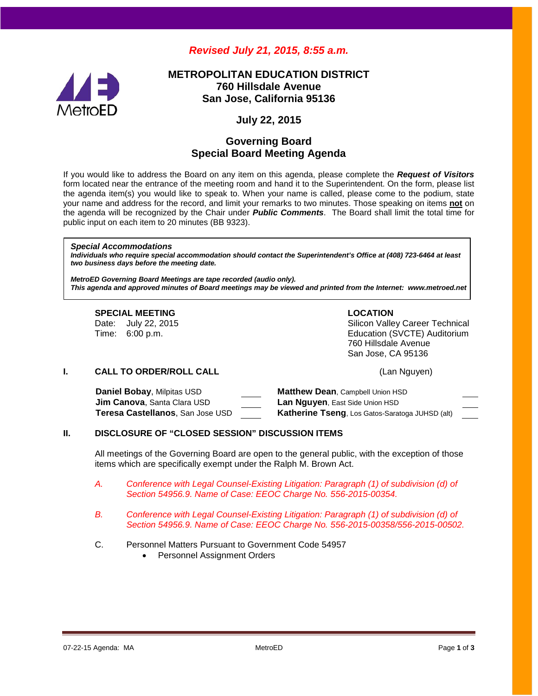# *Revised July 21, 2015, 8:55 a.m.*



# **METROPOLITAN EDUCATION DISTRICT 760 Hillsdale Avenue San Jose, California 95136**

## **July 22, 2015**

# **Governing Board Special Board Meeting Agenda**

If you would like to address the Board on any item on this agenda, please complete the *Request of Visitors* form located near the entrance of the meeting room and hand it to the Superintendent. On the form, please list the agenda item(s) you would like to speak to. When your name is called, please come to the podium, state your name and address for the record, and limit your remarks to two minutes. Those speaking on items **not** on the agenda will be recognized by the Chair under *Public Comments*. The Board shall limit the total time for public input on each item to 20 minutes (BB 9323).

#### *Special Accommodations*

*Individuals who require special accommodation should contact the Superintendent's Office at (408) 723-6464 at least two business days before the meeting date.*

*MetroED Governing Board Meetings are tape recorded (audio only). This agenda and approved minutes of Board meetings may be viewed and printed from the Internet: www.metroed.net*

#### **SPECIAL MEETING LOCATION** Date: July 22, 2015 **Sultange 1 State: State: Sultange 1** Silicon Valley Career Technical<br>Time: 6:00 p.m. Education (SVCTE) Auditorium 760 Hillsdale Avenue San Jose, CA 95136

#### **I. CALL TO ORDER/ROLL CALL CALL CALL CALL CALL CALL CALL CALL CALL**

| Daniel Bobay, Milpitas USD            | <b>Matthew Dean, Campbell Union HSD</b>                |
|---------------------------------------|--------------------------------------------------------|
| <b>Jim Canova</b> , Santa Clara USD . | <b>Lan Nguyen, East Side Union HSD</b>                 |
| Teresa Castellanos, San Jose USD      | <b>Katherine Tseng, Los Gatos-Saratoga JUHSD (alt)</b> |

### **II. DISCLOSURE OF "CLOSED SESSION" DISCUSSION ITEMS**

All meetings of the Governing Board are open to the general public, with the exception of those items which are specifically exempt under the Ralph M. Brown Act.

- *A. Conference with Legal Counsel-Existing Litigation: Paragraph (1) of subdivision (d) of Section 54956.9. Name of Case: EEOC Charge No. 556-2015-00354.*
- *B. Conference with Legal Counsel-Existing Litigation: Paragraph (1) of subdivision (d) of Section 54956.9. Name of Case: EEOC Charge No. 556-2015-00358/556-2015-00502.*
- C. Personnel Matters Pursuant to Government Code 54957
	- Personnel Assignment Orders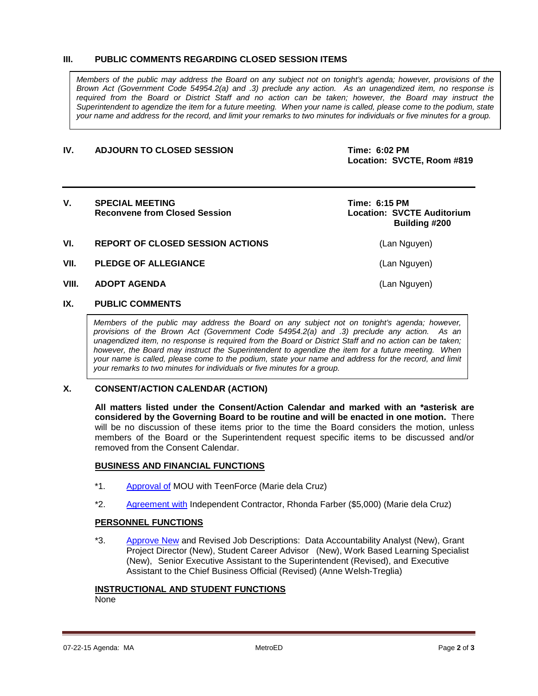#### **III. PUBLIC COMMENTS REGARDING CLOSED SESSION ITEMS**

*Members of the public may address the Board on any subject not on tonight's agenda; however, provisions of the Brown Act (Government Code 54954.2(a) and .3) preclude any action. As an unagendized item, no response is required from the Board or District Staff and no action can be taken; however, the Board may instruct the Superintendent to agendize the item for a future meeting. When your name is called, please come to the podium, state your name and address for the record, and limit your remarks to two minutes for individuals or five minutes for a group.*

#### **IV. ADJOURN TO CLOSED SESSION Time: 6:02 PM**

**Location: SVCTE, Room #819**

#### V. SPECIAL MEETING<br>Reconvene from Closed Session<br>Reconvene from Closed Session<br>**Time:** 6:15 PM **Reconvene from Closed Session**

 **Building #200**

- **VI. REPORT OF CLOSED SESSION ACTIONS** (Lan Nguyen)
- **VII. PLEDGE OF ALLEGIANCE** (Lan Nguyen)
- **VIII. ADOPT AGENDA** (Lan Nguyen)

#### **IX. PUBLIC COMMENTS**

*Members of the public may address the Board on any subject not on tonight's agenda; however, provisions of the Brown Act (Government Code 54954.2(a) and .3) preclude any action. As an unagendized item, no response is required from the Board or District Staff and no action can be taken; however, the Board may instruct the Superintendent to agendize the item for a future meeting. When your name is called, please come to the podium, state your name and address for the record, and limit your remarks to two minutes for individuals or five minutes for a group.*

#### **X. CONSENT/ACTION CALENDAR (ACTION)**

**All matters listed under the Consent/Action Calendar and marked with an \*asterisk are considered by the Governing Board to be routine and will be enacted in one motion.** There will be no discussion of these items prior to the time the Board considers the motion, unless members of the Board or the Superintendent request specific items to be discussed and/or removed from the Consent Calendar.

#### **BUSINESS AND FINANCIAL FUNCTIONS**

- \*1. [Approval of](http://fbsd.metroed.net/malaimo/Board_Agenda/07-22-15SpecialBoardMtg/Item1.pdf) MOU with TeenForce (Marie dela Cruz)
- \*2. [Agreement with](http://fbsd.metroed.net/malaimo/Board_Agenda/07-22-15SpecialBoardMtg/Item2.pdf) Independent Contractor, Rhonda Farber (\$5,000) (Marie dela Cruz)

#### **PERSONNEL FUNCTIONS**

\*3. [Approve New](http://fbsd.metroed.net/malaimo/Board_Agenda/07-22-15SpecialBoardMtg/Item3.pdf) and Revised Job Descriptions: Data Accountability Analyst (New), Grant Project Director (New), Student Career Advisor (New), Work Based Learning Specialist (New), Senior Executive Assistant to the Superintendent (Revised), and Executive Assistant to the Chief Business Official (Revised) (Anne Welsh-Treglia)

#### **INSTRUCTIONAL AND STUDENT FUNCTIONS**

None